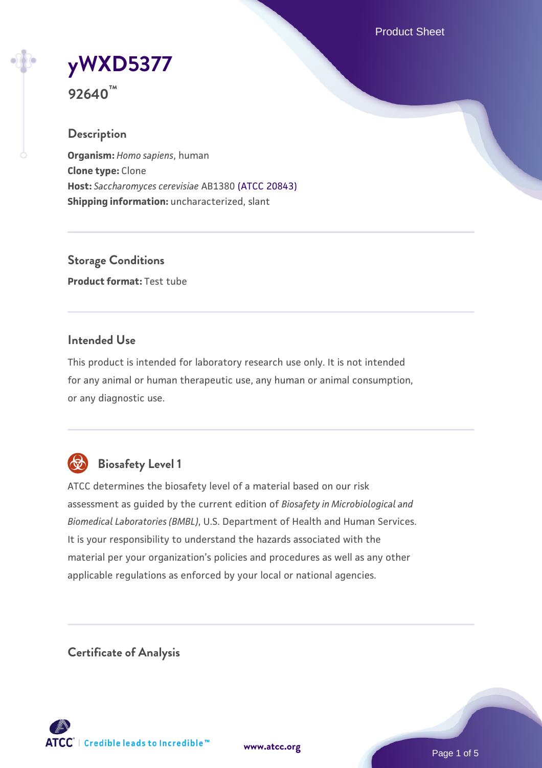Product Sheet

# **[yWXD5377](https://www.atcc.org/products/92640)**

**92640™**

# **Description**

**Organism:** *Homo sapiens*, human **Clone type:** Clone **Host:** *Saccharomyces cerevisiae* AB1380 [\(ATCC 20843\)](https://www.atcc.org/products/20843) **Shipping information:** uncharacterized, slant

**Storage Conditions Product format:** Test tube

## **Intended Use**

This product is intended for laboratory research use only. It is not intended for any animal or human therapeutic use, any human or animal consumption, or any diagnostic use.



# **Biosafety Level 1**

ATCC determines the biosafety level of a material based on our risk assessment as guided by the current edition of *Biosafety in Microbiological and Biomedical Laboratories (BMBL)*, U.S. Department of Health and Human Services. It is your responsibility to understand the hazards associated with the material per your organization's policies and procedures as well as any other applicable regulations as enforced by your local or national agencies.

**Certificate of Analysis**

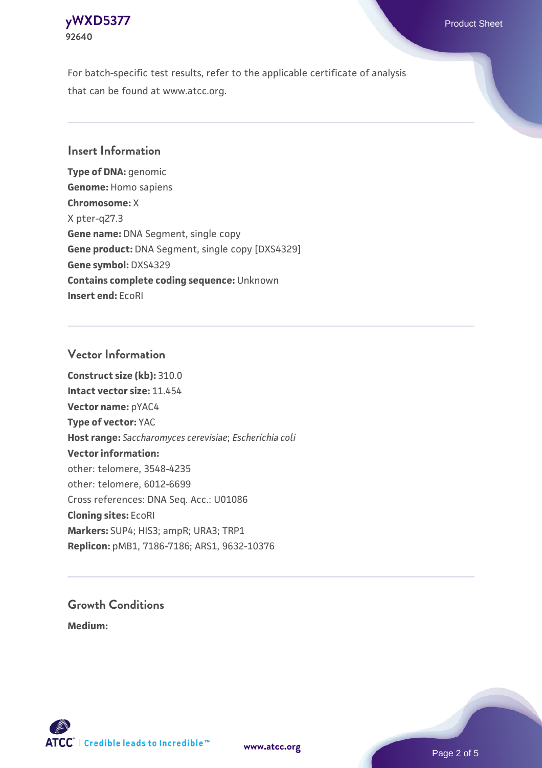

For batch-specific test results, refer to the applicable certificate of analysis that can be found at www.atcc.org.

#### **Insert Information**

**Type of DNA:** genomic **Genome:** Homo sapiens **Chromosome:** X X pter-q27.3 **Gene name:** DNA Segment, single copy **Gene product:** DNA Segment, single copy [DXS4329] **Gene symbol:** DXS4329 **Contains complete coding sequence:** Unknown **Insert end:** EcoRI

#### **Vector Information**

**Construct size (kb):** 310.0 **Intact vector size:** 11.454 **Vector name:** pYAC4 **Type of vector:** YAC **Host range:** *Saccharomyces cerevisiae*; *Escherichia coli* **Vector information:** other: telomere, 3548-4235 other: telomere, 6012-6699 Cross references: DNA Seq. Acc.: U01086 **Cloning sites:** EcoRI **Markers:** SUP4; HIS3; ampR; URA3; TRP1 **Replicon:** pMB1, 7186-7186; ARS1, 9632-10376

# **Growth Conditions**

**Medium:** 



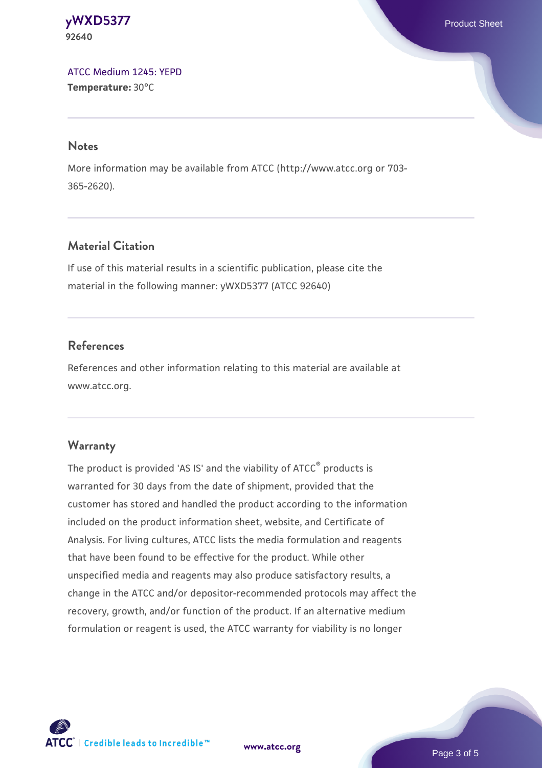**[yWXD5377](https://www.atcc.org/products/92640)** Product Sheet **92640**

[ATCC Medium 1245: YEPD](https://www.atcc.org/-/media/product-assets/documents/microbial-media-formulations/1/2/4/5/atcc-medium-1245.pdf?rev=705ca55d1b6f490a808a965d5c072196) **Temperature:** 30°C

#### **Notes**

More information may be available from ATCC (http://www.atcc.org or 703- 365-2620).

## **Material Citation**

If use of this material results in a scientific publication, please cite the material in the following manner: yWXD5377 (ATCC 92640)

#### **References**

References and other information relating to this material are available at www.atcc.org.

#### **Warranty**

The product is provided 'AS IS' and the viability of ATCC® products is warranted for 30 days from the date of shipment, provided that the customer has stored and handled the product according to the information included on the product information sheet, website, and Certificate of Analysis. For living cultures, ATCC lists the media formulation and reagents that have been found to be effective for the product. While other unspecified media and reagents may also produce satisfactory results, a change in the ATCC and/or depositor-recommended protocols may affect the recovery, growth, and/or function of the product. If an alternative medium formulation or reagent is used, the ATCC warranty for viability is no longer



**[www.atcc.org](http://www.atcc.org)**

Page 3 of 5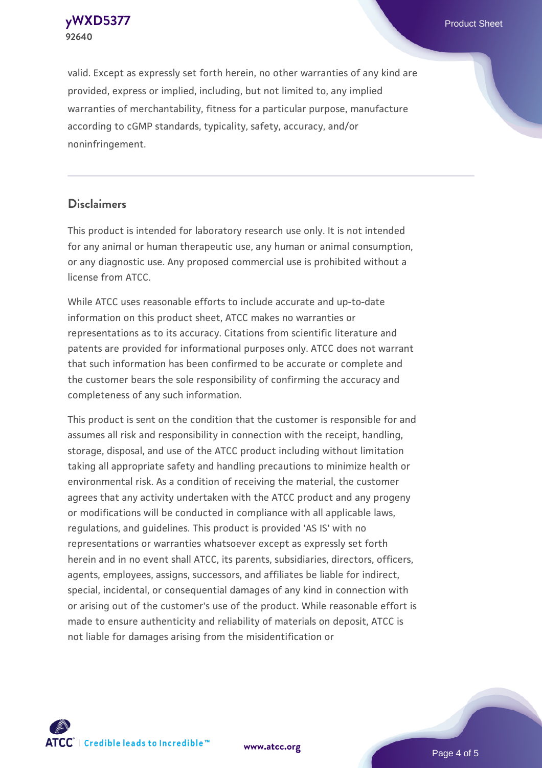**[yWXD5377](https://www.atcc.org/products/92640)** Product Sheet **92640**

valid. Except as expressly set forth herein, no other warranties of any kind are provided, express or implied, including, but not limited to, any implied warranties of merchantability, fitness for a particular purpose, manufacture according to cGMP standards, typicality, safety, accuracy, and/or noninfringement.

#### **Disclaimers**

This product is intended for laboratory research use only. It is not intended for any animal or human therapeutic use, any human or animal consumption, or any diagnostic use. Any proposed commercial use is prohibited without a license from ATCC.

While ATCC uses reasonable efforts to include accurate and up-to-date information on this product sheet, ATCC makes no warranties or representations as to its accuracy. Citations from scientific literature and patents are provided for informational purposes only. ATCC does not warrant that such information has been confirmed to be accurate or complete and the customer bears the sole responsibility of confirming the accuracy and completeness of any such information.

This product is sent on the condition that the customer is responsible for and assumes all risk and responsibility in connection with the receipt, handling, storage, disposal, and use of the ATCC product including without limitation taking all appropriate safety and handling precautions to minimize health or environmental risk. As a condition of receiving the material, the customer agrees that any activity undertaken with the ATCC product and any progeny or modifications will be conducted in compliance with all applicable laws, regulations, and guidelines. This product is provided 'AS IS' with no representations or warranties whatsoever except as expressly set forth herein and in no event shall ATCC, its parents, subsidiaries, directors, officers, agents, employees, assigns, successors, and affiliates be liable for indirect, special, incidental, or consequential damages of any kind in connection with or arising out of the customer's use of the product. While reasonable effort is made to ensure authenticity and reliability of materials on deposit, ATCC is not liable for damages arising from the misidentification or



**[www.atcc.org](http://www.atcc.org)**

Page 4 of 5